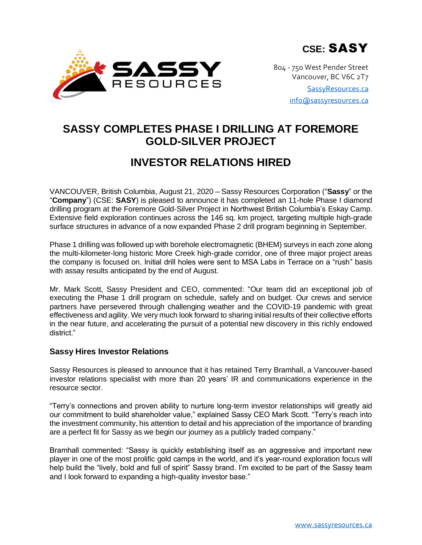SASSY RESOURCES

804 - 750 West Pender Street Vancouver, BC V6C 2T7 [SassyResources.ca](http://www.sassyresources.ca/) [info@sassyresources.ca](mailto:info@sassyresources.ca)

# **SASSY COMPLETES PHASE I DRILLING AT FOREMORE GOLD-SILVER PROJECT**

# **INVESTOR RELATIONS HIRED**

VANCOUVER, British Columbia, August 21, 2020 – Sassy Resources Corporation ("**Sassy**" or the "**Company**") (CSE: **SASY**) is pleased to announce it has completed an 11-hole Phase I diamond drilling program at the Foremore Gold-Silver Project in Northwest British Columbia's Eskay Camp. Extensive field exploration continues across the 146 sq. km project, targeting multiple high-grade surface structures in advance of a now expanded Phase 2 drill program beginning in September.

Phase 1 drilling was followed up with borehole electromagnetic (BHEM) surveys in each zone along the multi-kilometer-long historic More Creek high-grade corridor, one of three major project areas the company is focused on. Initial drill holes were sent to MSA Labs in Terrace on a "rush" basis with assay results anticipated by the end of August.

Mr. Mark Scott, Sassy President and CEO, commented: "Our team did an exceptional job of executing the Phase 1 drill program on schedule, safely and on budget. Our crews and service partners have persevered through challenging weather and the COVID-19 pandemic with great effectiveness and agility. We very much look forward to sharing initial results of their collective efforts in the near future, and accelerating the pursuit of a potential new discovery in this richly endowed district."

# **Sassy Hires Investor Relations**

Sassy Resources is pleased to announce that it has retained Terry Bramhall, a Vancouver-based investor relations specialist with more than 20 years' IR and communications experience in the resource sector.

"Terry's connections and proven ability to nurture long-term investor relationships will greatly aid our commitment to build shareholder value," explained Sassy CEO Mark Scott. "Terry's reach into the investment community, his attention to detail and his appreciation of the importance of branding are a perfect fit for Sassy as we begin our journey as a publicly traded company."

Bramhall commented: "Sassy is quickly establishing itself as an aggressive and important new player in one of the most prolific gold camps in the world, and it's year-round exploration focus will help build the "lively, bold and full of spirit" Sassy brand. I'm excited to be part of the Sassy team and I look forward to expanding a high-quality investor base."